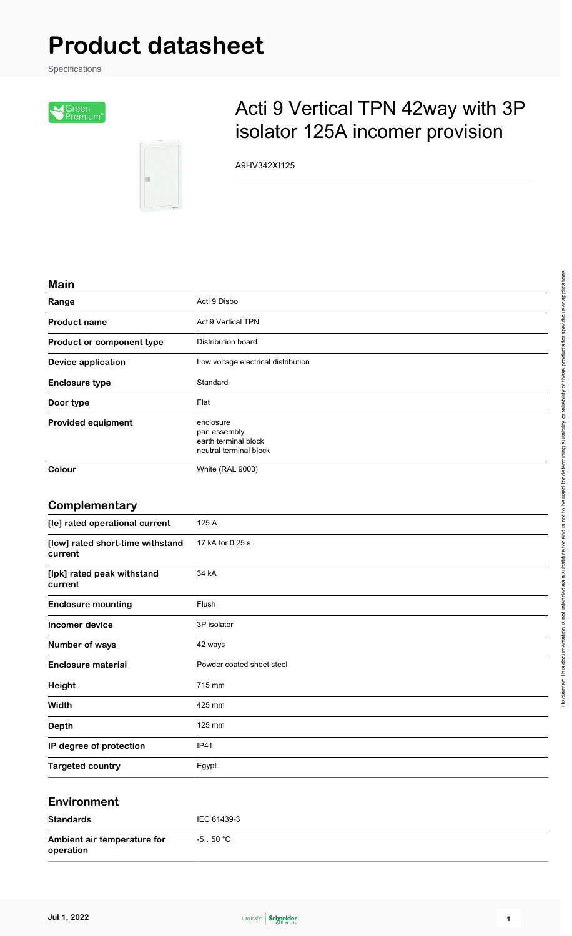# **Product datasheet**

Specifications





## Acti 9 Vertical TPN 42way with 3P isolator 125A incomer provision

A9HV342XI125

#### **Main**

| <b>IVIQIII</b>            |                                                                             |
|---------------------------|-----------------------------------------------------------------------------|
| Range                     | Acti 9 Disbo                                                                |
| <b>Product name</b>       | <b>Acti9 Vertical TPN</b>                                                   |
| Product or component type | Distribution board                                                          |
| <b>Device application</b> | Low voltage electrical distribution                                         |
| <b>Enclosure type</b>     | Standard                                                                    |
| Door type                 | Flat                                                                        |
| <b>Provided equipment</b> | enclosure<br>pan assembly<br>earth terminal block<br>neutral terminal block |
| Colour                    | <b>White (RAL 9003)</b>                                                     |

#### **Complementary**

| [le] rated operational current              | 125 A                     |
|---------------------------------------------|---------------------------|
| [Icw] rated short-time withstand<br>current | 17 kA for 0.25 s          |
| [lpk] rated peak withstand<br>current       | 34 kA                     |
| <b>Enclosure mounting</b>                   | Flush                     |
| <b>Incomer device</b>                       | 3P isolator               |
| Number of ways                              | 42 ways                   |
| <b>Enclosure material</b>                   | Powder coated sheet steel |
| Height                                      | 715 mm                    |
| Width                                       | 425 mm                    |
| <b>Depth</b>                                | 125 mm                    |
| IP degree of protection                     | <b>IP41</b>               |
| <b>Targeted country</b>                     | Egypt                     |

#### **Environment**

| <b>Standards</b>                         | IEC 61439-3 |
|------------------------------------------|-------------|
| Ambient air temperature for<br>operation | -5…50 °C    |